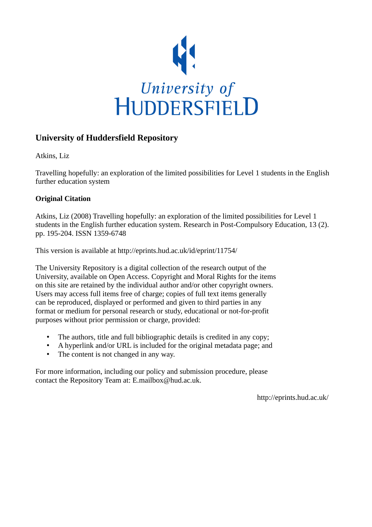

# **University of Huddersfield Repository**

Atkins, Liz

Travelling hopefully: an exploration of the limited possibilities for Level 1 students in the English further education system

# **Original Citation**

Atkins, Liz (2008) Travelling hopefully: an exploration of the limited possibilities for Level 1 students in the English further education system. Research in Post-Compulsory Education, 13 (2). pp. 195-204. ISSN 1359-6748

This version is available at http://eprints.hud.ac.uk/id/eprint/11754/

The University Repository is a digital collection of the research output of the University, available on Open Access. Copyright and Moral Rights for the items on this site are retained by the individual author and/or other copyright owners. Users may access full items free of charge; copies of full text items generally can be reproduced, displayed or performed and given to third parties in any format or medium for personal research or study, educational or not-for-profit purposes without prior permission or charge, provided:

- The authors, title and full bibliographic details is credited in any copy;
- A hyperlink and/or URL is included for the original metadata page; and
- The content is not changed in any way.

For more information, including our policy and submission procedure, please contact the Repository Team at: E.mailbox@hud.ac.uk.

http://eprints.hud.ac.uk/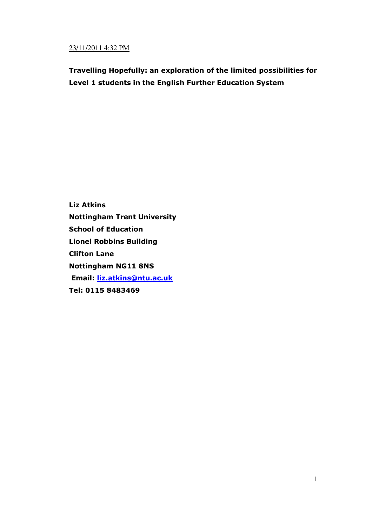Travelling Hopefully: an exploration of the limited possibilities for Level 1 students in the English Further Education System

Liz Atkins Nottingham Trent University School of Education Lionel Robbins Building Clifton Lane Nottingham NG11 8NS Email: liz.atkins@ntu.ac.uk Tel: 0115 8483469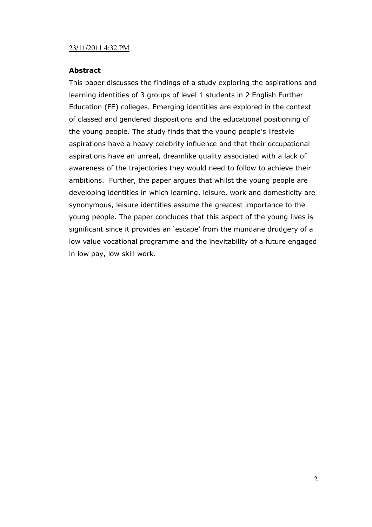## Abstract

This paper discusses the findings of a study exploring the aspirations and learning identities of 3 groups of level 1 students in 2 English Further Education (FE) colleges. Emerging identities are explored in the context of classed and gendered dispositions and the educational positioning of the young people. The study finds that the young people's lifestyle aspirations have a heavy celebrity influence and that their occupational aspirations have an unreal, dreamlike quality associated with a lack of awareness of the trajectories they would need to follow to achieve their ambitions. Further, the paper argues that whilst the young people are developing identities in which learning, leisure, work and domesticity are synonymous, leisure identities assume the greatest importance to the young people. The paper concludes that this aspect of the young lives is significant since it provides an 'escape' from the mundane drudgery of a low value vocational programme and the inevitability of a future engaged in low pay, low skill work.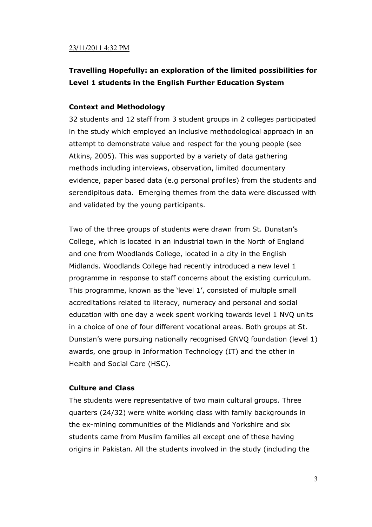# Travelling Hopefully: an exploration of the limited possibilities for Level 1 students in the English Further Education System

## Context and Methodology

32 students and 12 staff from 3 student groups in 2 colleges participated in the study which employed an inclusive methodological approach in an attempt to demonstrate value and respect for the young people (see Atkins, 2005). This was supported by a variety of data gathering methods including interviews, observation, limited documentary evidence, paper based data (e.g personal profiles) from the students and serendipitous data. Emerging themes from the data were discussed with and validated by the young participants.

Two of the three groups of students were drawn from St. Dunstan's College, which is located in an industrial town in the North of England and one from Woodlands College, located in a city in the English Midlands. Woodlands College had recently introduced a new level 1 programme in response to staff concerns about the existing curriculum. This programme, known as the 'level 1', consisted of multiple small accreditations related to literacy, numeracy and personal and social education with one day a week spent working towards level 1 NVQ units in a choice of one of four different vocational areas. Both groups at St. Dunstan's were pursuing nationally recognised GNVQ foundation (level 1) awards, one group in Information Technology (IT) and the other in Health and Social Care (HSC).

## Culture and Class

The students were representative of two main cultural groups. Three quarters (24/32) were white working class with family backgrounds in the ex-mining communities of the Midlands and Yorkshire and six students came from Muslim families all except one of these having origins in Pakistan. All the students involved in the study (including the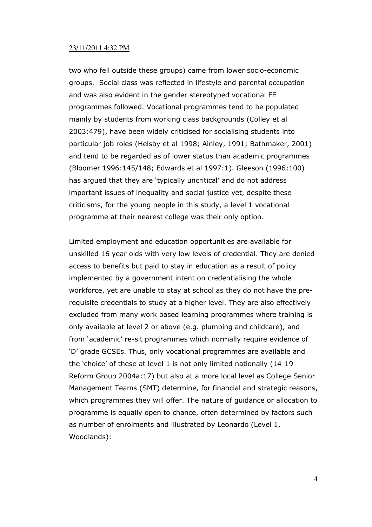two who fell outside these groups) came from lower socio-economic groups. Social class was reflected in lifestyle and parental occupation and was also evident in the gender stereotyped vocational FE programmes followed. Vocational programmes tend to be populated mainly by students from working class backgrounds (Colley et al 2003:479), have been widely criticised for socialising students into particular job roles (Helsby et al 1998; Ainley, 1991; Bathmaker, 2001) and tend to be regarded as of lower status than academic programmes (Bloomer 1996:145/148; Edwards et al 1997:1). Gleeson (1996:100) has argued that they are 'typically uncritical' and do not address important issues of inequality and social justice yet, despite these criticisms, for the young people in this study, a level 1 vocational programme at their nearest college was their only option.

Limited employment and education opportunities are available for unskilled 16 year olds with very low levels of credential. They are denied access to benefits but paid to stay in education as a result of policy implemented by a government intent on credentialising the whole workforce, yet are unable to stay at school as they do not have the prerequisite credentials to study at a higher level. They are also effectively excluded from many work based learning programmes where training is only available at level 2 or above (e.g. plumbing and childcare), and from 'academic' re-sit programmes which normally require evidence of 'D' grade GCSEs. Thus, only vocational programmes are available and the 'choice' of these at level 1 is not only limited nationally (14-19 Reform Group 2004a:17) but also at a more local level as College Senior Management Teams (SMT) determine, for financial and strategic reasons, which programmes they will offer. The nature of guidance or allocation to programme is equally open to chance, often determined by factors such as number of enrolments and illustrated by Leonardo (Level 1, Woodlands):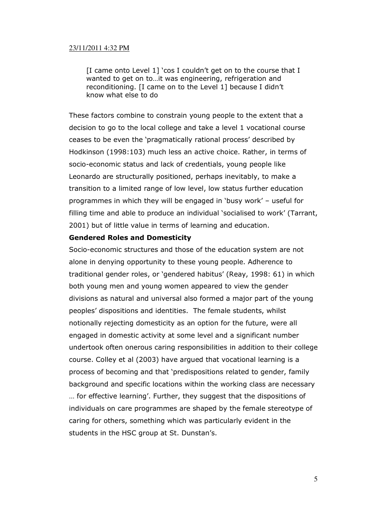[I came onto Level 1] 'cos I couldn't get on to the course that I wanted to get on to…it was engineering, refrigeration and reconditioning. [I came on to the Level 1] because I didn't know what else to do

These factors combine to constrain young people to the extent that a decision to go to the local college and take a level 1 vocational course ceases to be even the 'pragmatically rational process' described by Hodkinson (1998:103) much less an active choice. Rather, in terms of socio-economic status and lack of credentials, young people like Leonardo are structurally positioned, perhaps inevitably, to make a transition to a limited range of low level, low status further education programmes in which they will be engaged in 'busy work' – useful for filling time and able to produce an individual 'socialised to work' (Tarrant, 2001) but of little value in terms of learning and education.

#### Gendered Roles and Domesticity

Socio-economic structures and those of the education system are not alone in denying opportunity to these young people. Adherence to traditional gender roles, or 'gendered habitus' (Reay, 1998: 61) in which both young men and young women appeared to view the gender divisions as natural and universal also formed a major part of the young peoples' dispositions and identities. The female students, whilst notionally rejecting domesticity as an option for the future, were all engaged in domestic activity at some level and a significant number undertook often onerous caring responsibilities in addition to their college course. Colley et al (2003) have argued that vocational learning is a process of becoming and that 'predispositions related to gender, family background and specific locations within the working class are necessary … for effective learning'. Further, they suggest that the dispositions of individuals on care programmes are shaped by the female stereotype of caring for others, something which was particularly evident in the students in the HSC group at St. Dunstan's.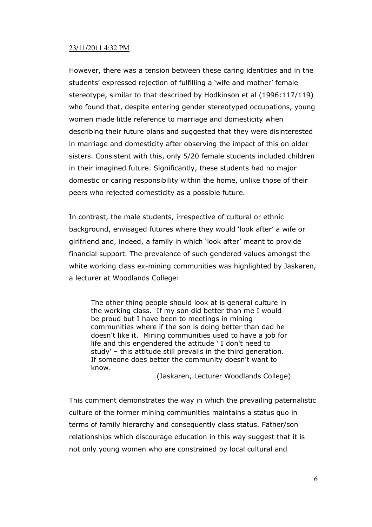However, there was a tension between these caring identities and in the students' expressed rejection of fulfilling a 'wife and mother' female stereotype, similar to that described by Hodkinson et al (1996:117/119) who found that, despite entering gender stereotyped occupations, young women made little reference to marriage and domesticity when describing their future plans and suggested that they were disinterested in marriage and domesticity after observing the impact of this on older sisters. Consistent with this, only 5/20 female students included children in their imagined future. Significantly, these students had no major domestic or caring responsibility within the home, unlike those of their peers who rejected domesticity as a possible future.

In contrast, the male students, irrespective of cultural or ethnic background, envisaged futures where they would 'look after' a wife or girlfriend and, indeed, a family in which 'look after' meant to provide financial support. The prevalence of such gendered values amongst the white working class ex-mining communities was highlighted by Jaskaren, a lecturer at Woodlands College:

The other thing people should look at is general culture in the working class. If my son did better than me I would be proud but I have been to meetings in mining communities where if the son is doing better than dad he doesn't like it. Mining communities used to have a job for life and this engendered the attitude ' I don't need to study' – this attitude still prevails in the third generation. If someone does better the community doesn't want to know.

(Jaskaren, Lecturer Woodlands College)

This comment demonstrates the way in which the prevailing paternalistic culture of the former mining communities maintains a status quo in terms of family hierarchy and consequently class status. Father/son relationships which discourage education in this way suggest that it is not only young women who are constrained by local cultural and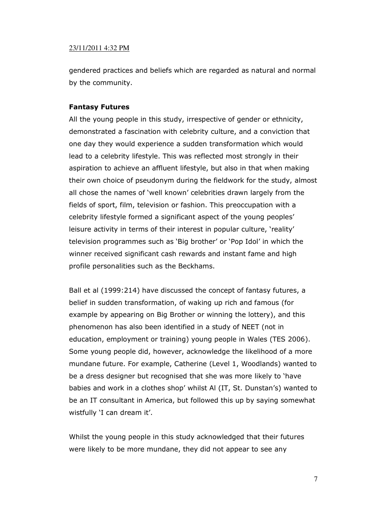gendered practices and beliefs which are regarded as natural and normal by the community.

## Fantasy Futures

All the young people in this study, irrespective of gender or ethnicity, demonstrated a fascination with celebrity culture, and a conviction that one day they would experience a sudden transformation which would lead to a celebrity lifestyle. This was reflected most strongly in their aspiration to achieve an affluent lifestyle, but also in that when making their own choice of pseudonym during the fieldwork for the study, almost all chose the names of 'well known' celebrities drawn largely from the fields of sport, film, television or fashion. This preoccupation with a celebrity lifestyle formed a significant aspect of the young peoples' leisure activity in terms of their interest in popular culture, 'reality' television programmes such as 'Big brother' or 'Pop Idol' in which the winner received significant cash rewards and instant fame and high profile personalities such as the Beckhams.

Ball et al (1999:214) have discussed the concept of fantasy futures, a belief in sudden transformation, of waking up rich and famous (for example by appearing on Big Brother or winning the lottery), and this phenomenon has also been identified in a study of NEET (not in education, employment or training) young people in Wales (TES 2006). Some young people did, however, acknowledge the likelihood of a more mundane future. For example, Catherine (Level 1, Woodlands) wanted to be a dress designer but recognised that she was more likely to 'have babies and work in a clothes shop' whilst Al (IT, St. Dunstan's) wanted to be an IT consultant in America, but followed this up by saying somewhat wistfully 'I can dream it'.

Whilst the young people in this study acknowledged that their futures were likely to be more mundane, they did not appear to see any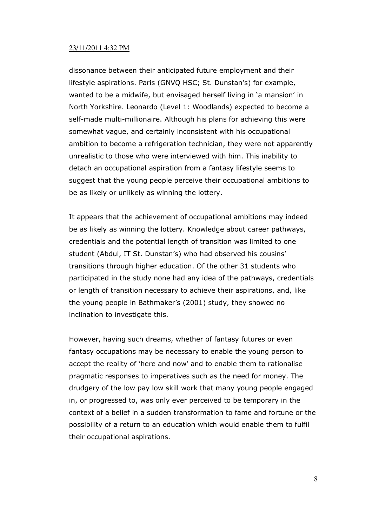dissonance between their anticipated future employment and their lifestyle aspirations. Paris (GNVQ HSC; St. Dunstan's) for example, wanted to be a midwife, but envisaged herself living in 'a mansion' in North Yorkshire. Leonardo (Level 1: Woodlands) expected to become a self-made multi-millionaire. Although his plans for achieving this were somewhat vague, and certainly inconsistent with his occupational ambition to become a refrigeration technician, they were not apparently unrealistic to those who were interviewed with him. This inability to detach an occupational aspiration from a fantasy lifestyle seems to suggest that the young people perceive their occupational ambitions to be as likely or unlikely as winning the lottery.

It appears that the achievement of occupational ambitions may indeed be as likely as winning the lottery. Knowledge about career pathways, credentials and the potential length of transition was limited to one student (Abdul, IT St. Dunstan's) who had observed his cousins' transitions through higher education. Of the other 31 students who participated in the study none had any idea of the pathways, credentials or length of transition necessary to achieve their aspirations, and, like the young people in Bathmaker's (2001) study, they showed no inclination to investigate this.

However, having such dreams, whether of fantasy futures or even fantasy occupations may be necessary to enable the young person to accept the reality of 'here and now' and to enable them to rationalise pragmatic responses to imperatives such as the need for money. The drudgery of the low pay low skill work that many young people engaged in, or progressed to, was only ever perceived to be temporary in the context of a belief in a sudden transformation to fame and fortune or the possibility of a return to an education which would enable them to fulfil their occupational aspirations.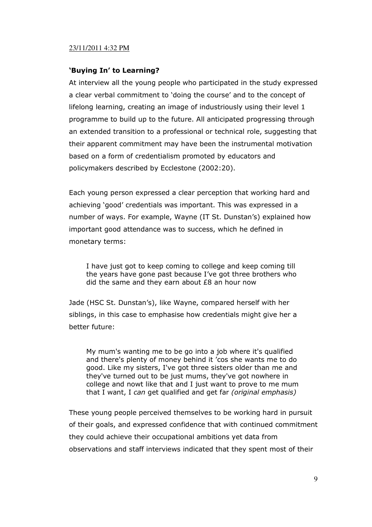## 'Buying In' to Learning?

At interview all the young people who participated in the study expressed a clear verbal commitment to 'doing the course' and to the concept of lifelong learning, creating an image of industriously using their level 1 programme to build up to the future. All anticipated progressing through an extended transition to a professional or technical role, suggesting that their apparent commitment may have been the instrumental motivation based on a form of credentialism promoted by educators and policymakers described by Ecclestone (2002:20).

Each young person expressed a clear perception that working hard and achieving 'good' credentials was important. This was expressed in a number of ways. For example, Wayne (IT St. Dunstan's) explained how important good attendance was to success, which he defined in monetary terms:

I have just got to keep coming to college and keep coming till the years have gone past because I've got three brothers who did the same and they earn about £8 an hour now

Jade (HSC St. Dunstan's), like Wayne, compared herself with her siblings, in this case to emphasise how credentials might give her a better future:

My mum's wanting me to be go into a job where it's qualified and there's plenty of money behind it 'cos she wants me to do good. Like my sisters, I've got three sisters older than me and they've turned out to be just mums, they've got nowhere in college and nowt like that and I just want to prove to me mum that I want, I can get qualified and get far (original emphasis)

These young people perceived themselves to be working hard in pursuit of their goals, and expressed confidence that with continued commitment they could achieve their occupational ambitions yet data from observations and staff interviews indicated that they spent most of their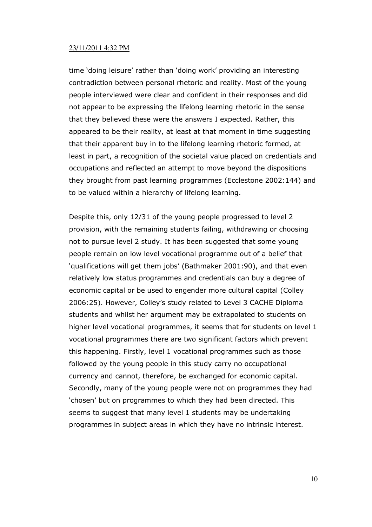time 'doing leisure' rather than 'doing work' providing an interesting contradiction between personal rhetoric and reality. Most of the young people interviewed were clear and confident in their responses and did not appear to be expressing the lifelong learning rhetoric in the sense that they believed these were the answers I expected. Rather, this appeared to be their reality, at least at that moment in time suggesting that their apparent buy in to the lifelong learning rhetoric formed, at least in part, a recognition of the societal value placed on credentials and occupations and reflected an attempt to move beyond the dispositions they brought from past learning programmes (Ecclestone 2002:144) and to be valued within a hierarchy of lifelong learning.

Despite this, only 12/31 of the young people progressed to level 2 provision, with the remaining students failing, withdrawing or choosing not to pursue level 2 study. It has been suggested that some young people remain on low level vocational programme out of a belief that 'qualifications will get them jobs' (Bathmaker 2001:90), and that even relatively low status programmes and credentials can buy a degree of economic capital or be used to engender more cultural capital (Colley 2006:25). However, Colley's study related to Level 3 CACHE Diploma students and whilst her argument may be extrapolated to students on higher level vocational programmes, it seems that for students on level 1 vocational programmes there are two significant factors which prevent this happening. Firstly, level 1 vocational programmes such as those followed by the young people in this study carry no occupational currency and cannot, therefore, be exchanged for economic capital. Secondly, many of the young people were not on programmes they had 'chosen' but on programmes to which they had been directed. This seems to suggest that many level 1 students may be undertaking programmes in subject areas in which they have no intrinsic interest.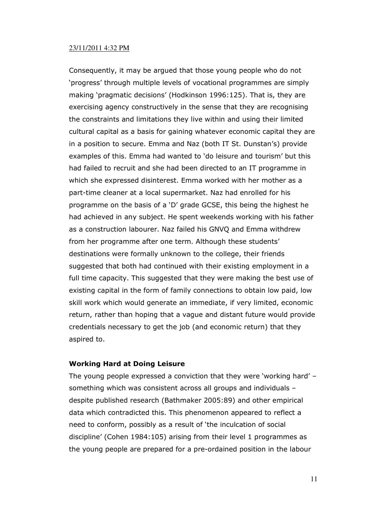Consequently, it may be argued that those young people who do not 'progress' through multiple levels of vocational programmes are simply making 'pragmatic decisions' (Hodkinson 1996:125). That is, they are exercising agency constructively in the sense that they are recognising the constraints and limitations they live within and using their limited cultural capital as a basis for gaining whatever economic capital they are in a position to secure. Emma and Naz (both IT St. Dunstan's) provide examples of this. Emma had wanted to 'do leisure and tourism' but this had failed to recruit and she had been directed to an IT programme in which she expressed disinterest. Emma worked with her mother as a part-time cleaner at a local supermarket. Naz had enrolled for his programme on the basis of a 'D' grade GCSE, this being the highest he had achieved in any subject. He spent weekends working with his father as a construction labourer. Naz failed his GNVQ and Emma withdrew from her programme after one term. Although these students' destinations were formally unknown to the college, their friends suggested that both had continued with their existing employment in a full time capacity. This suggested that they were making the best use of existing capital in the form of family connections to obtain low paid, low skill work which would generate an immediate, if very limited, economic return, rather than hoping that a vague and distant future would provide credentials necessary to get the job (and economic return) that they aspired to.

#### Working Hard at Doing Leisure

The young people expressed a conviction that they were 'working hard' – something which was consistent across all groups and individuals – despite published research (Bathmaker 2005:89) and other empirical data which contradicted this. This phenomenon appeared to reflect a need to conform, possibly as a result of 'the inculcation of social discipline' (Cohen 1984:105) arising from their level 1 programmes as the young people are prepared for a pre-ordained position in the labour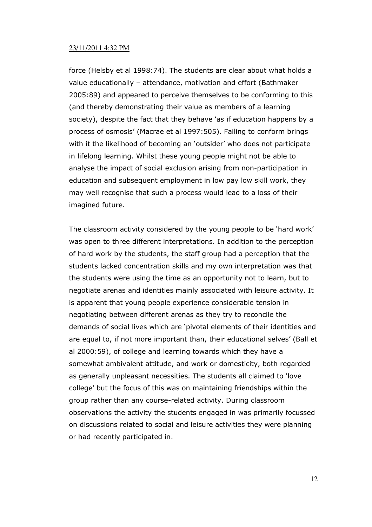force (Helsby et al 1998:74). The students are clear about what holds a value educationally – attendance, motivation and effort (Bathmaker 2005:89) and appeared to perceive themselves to be conforming to this (and thereby demonstrating their value as members of a learning society), despite the fact that they behave 'as if education happens by a process of osmosis' (Macrae et al 1997:505). Failing to conform brings with it the likelihood of becoming an 'outsider' who does not participate in lifelong learning. Whilst these young people might not be able to analyse the impact of social exclusion arising from non-participation in education and subsequent employment in low pay low skill work, they may well recognise that such a process would lead to a loss of their imagined future.

The classroom activity considered by the young people to be 'hard work' was open to three different interpretations. In addition to the perception of hard work by the students, the staff group had a perception that the students lacked concentration skills and my own interpretation was that the students were using the time as an opportunity not to learn, but to negotiate arenas and identities mainly associated with leisure activity. It is apparent that young people experience considerable tension in negotiating between different arenas as they try to reconcile the demands of social lives which are 'pivotal elements of their identities and are equal to, if not more important than, their educational selves' (Ball et al 2000:59), of college and learning towards which they have a somewhat ambivalent attitude, and work or domesticity, both regarded as generally unpleasant necessities. The students all claimed to 'love college' but the focus of this was on maintaining friendships within the group rather than any course-related activity. During classroom observations the activity the students engaged in was primarily focussed on discussions related to social and leisure activities they were planning or had recently participated in.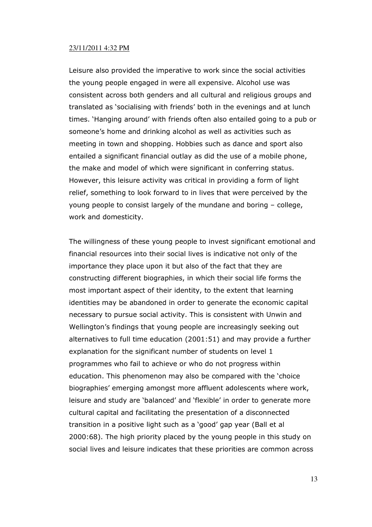Leisure also provided the imperative to work since the social activities the young people engaged in were all expensive. Alcohol use was consistent across both genders and all cultural and religious groups and translated as 'socialising with friends' both in the evenings and at lunch times. 'Hanging around' with friends often also entailed going to a pub or someone's home and drinking alcohol as well as activities such as meeting in town and shopping. Hobbies such as dance and sport also entailed a significant financial outlay as did the use of a mobile phone, the make and model of which were significant in conferring status. However, this leisure activity was critical in providing a form of light relief, something to look forward to in lives that were perceived by the young people to consist largely of the mundane and boring – college, work and domesticity.

The willingness of these young people to invest significant emotional and financial resources into their social lives is indicative not only of the importance they place upon it but also of the fact that they are constructing different biographies, in which their social life forms the most important aspect of their identity, to the extent that learning identities may be abandoned in order to generate the economic capital necessary to pursue social activity. This is consistent with Unwin and Wellington's findings that young people are increasingly seeking out alternatives to full time education (2001:51) and may provide a further explanation for the significant number of students on level 1 programmes who fail to achieve or who do not progress within education. This phenomenon may also be compared with the 'choice biographies' emerging amongst more affluent adolescents where work, leisure and study are 'balanced' and 'flexible' in order to generate more cultural capital and facilitating the presentation of a disconnected transition in a positive light such as a 'good' gap year (Ball et al 2000:68). The high priority placed by the young people in this study on social lives and leisure indicates that these priorities are common across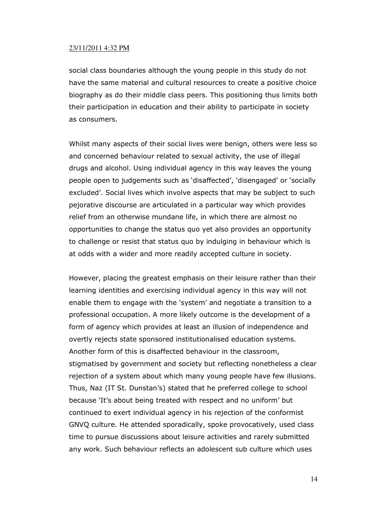social class boundaries although the young people in this study do not have the same material and cultural resources to create a positive choice biography as do their middle class peers. This positioning thus limits both their participation in education and their ability to participate in society as consumers.

Whilst many aspects of their social lives were benign, others were less so and concerned behaviour related to sexual activity, the use of illegal drugs and alcohol. Using individual agency in this way leaves the young people open to judgements such as 'disaffected', 'disengaged' or 'socially excluded'. Social lives which involve aspects that may be subject to such pejorative discourse are articulated in a particular way which provides relief from an otherwise mundane life, in which there are almost no opportunities to change the status quo yet also provides an opportunity to challenge or resist that status quo by indulging in behaviour which is at odds with a wider and more readily accepted culture in society.

However, placing the greatest emphasis on their leisure rather than their learning identities and exercising individual agency in this way will not enable them to engage with the 'system' and negotiate a transition to a professional occupation. A more likely outcome is the development of a form of agency which provides at least an illusion of independence and overtly rejects state sponsored institutionalised education systems. Another form of this is disaffected behaviour in the classroom, stigmatised by government and society but reflecting nonetheless a clear rejection of a system about which many young people have few illusions. Thus, Naz (IT St. Dunstan's) stated that he preferred college to school because 'It's about being treated with respect and no uniform' but continued to exert individual agency in his rejection of the conformist GNVQ culture. He attended sporadically, spoke provocatively, used class time to pursue discussions about leisure activities and rarely submitted any work. Such behaviour reflects an adolescent sub culture which uses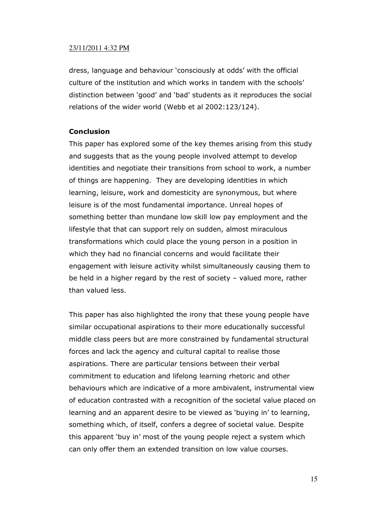dress, language and behaviour 'consciously at odds' with the official culture of the institution and which works in tandem with the schools' distinction between 'good' and 'bad' students as it reproduces the social relations of the wider world (Webb et al 2002:123/124).

## Conclusion

This paper has explored some of the key themes arising from this study and suggests that as the young people involved attempt to develop identities and negotiate their transitions from school to work, a number of things are happening. They are developing identities in which learning, leisure, work and domesticity are synonymous, but where leisure is of the most fundamental importance. Unreal hopes of something better than mundane low skill low pay employment and the lifestyle that that can support rely on sudden, almost miraculous transformations which could place the young person in a position in which they had no financial concerns and would facilitate their engagement with leisure activity whilst simultaneously causing them to be held in a higher regard by the rest of society – valued more, rather than valued less.

This paper has also highlighted the irony that these young people have similar occupational aspirations to their more educationally successful middle class peers but are more constrained by fundamental structural forces and lack the agency and cultural capital to realise those aspirations. There are particular tensions between their verbal commitment to education and lifelong learning rhetoric and other behaviours which are indicative of a more ambivalent, instrumental view of education contrasted with a recognition of the societal value placed on learning and an apparent desire to be viewed as 'buying in' to learning, something which, of itself, confers a degree of societal value. Despite this apparent 'buy in' most of the young people reject a system which can only offer them an extended transition on low value courses.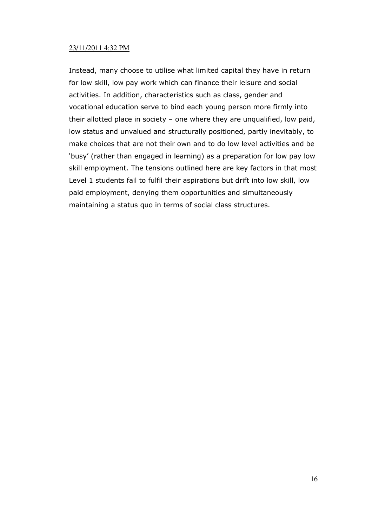Instead, many choose to utilise what limited capital they have in return for low skill, low pay work which can finance their leisure and social activities. In addition, characteristics such as class, gender and vocational education serve to bind each young person more firmly into their allotted place in society – one where they are unqualified, low paid, low status and unvalued and structurally positioned, partly inevitably, to make choices that are not their own and to do low level activities and be 'busy' (rather than engaged in learning) as a preparation for low pay low skill employment. The tensions outlined here are key factors in that most Level 1 students fail to fulfil their aspirations but drift into low skill, low paid employment, denying them opportunities and simultaneously maintaining a status quo in terms of social class structures.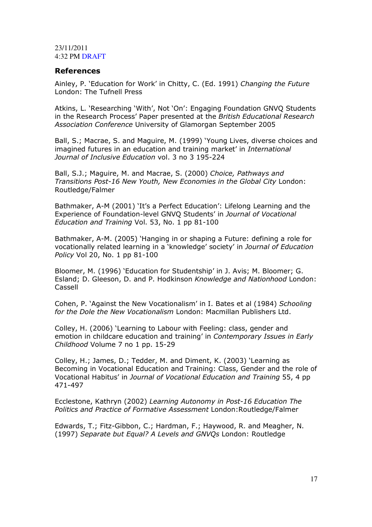## 23/11/2011 4:32 PM DRAFT

# References

Ainley, P. 'Education for Work' in Chitty, C. (Ed. 1991) Changing the Future London: The Tufnell Press

Atkins, L. 'Researching 'With', Not 'On': Engaging Foundation GNVQ Students in the Research Process' Paper presented at the British Educational Research Association Conference University of Glamorgan September 2005

Ball, S.; Macrae, S. and Maguire, M. (1999) 'Young Lives, diverse choices and imagined futures in an education and training market' in International Journal of Inclusive Education vol. 3 no 3 195-224

Ball, S.J.; Maguire, M. and Macrae, S. (2000) Choice, Pathways and Transitions Post-16 New Youth, New Economies in the Global City London: Routledge/Falmer

Bathmaker, A-M (2001) 'It's a Perfect Education': Lifelong Learning and the Experience of Foundation-level GNVQ Students' in Journal of Vocational Education and Training Vol. 53, No. 1 pp 81-100

Bathmaker, A-M. (2005) 'Hanging in or shaping a Future: defining a role for vocationally related learning in a 'knowledge' society' in Journal of Education Policy Vol 20, No. 1 pp 81-100

Bloomer, M. (1996) 'Education for Studentship' in J. Avis; M. Bloomer; G. Esland; D. Gleeson, D. and P. Hodkinson Knowledge and Nationhood London: Cassell

Cohen, P. 'Against the New Vocationalism' in I. Bates et al (1984) Schooling for the Dole the New Vocationalism London: Macmillan Publishers Ltd.

Colley, H. (2006) 'Learning to Labour with Feeling: class, gender and emotion in childcare education and training' in Contemporary Issues in Early Childhood Volume 7 no 1 pp. 15-29

Colley, H.; James, D.; Tedder, M. and Diment, K. (2003) 'Learning as Becoming in Vocational Education and Training: Class, Gender and the role of Vocational Habitus' in Journal of Vocational Education and Training 55, 4 pp 471-497

Ecclestone, Kathryn (2002) Learning Autonomy in Post-16 Education The Politics and Practice of Formative Assessment London:Routledge/Falmer

Edwards, T.; Fitz-Gibbon, C.; Hardman, F.; Haywood, R. and Meagher, N. (1997) Separate but Equal? A Levels and GNVQs London: Routledge